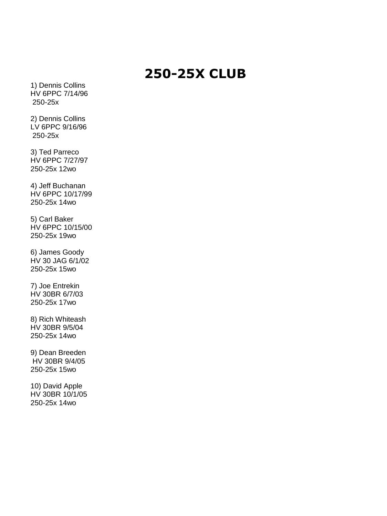## **250-25X CLUB**

1) Dennis Collins HV 6PPC 7/14/96 250-25x

2) Dennis Collins LV 6PPC 9/16/96 250-25x

3) Ted Parreco HV 6PPC 7/27/97 250-25x 12wo

4) Jeff Buchanan HV 6PPC 10/17/99 250-25x 14wo

5) Carl Baker HV 6PPC 10/15/00 250-25x 19wo

6) James Goody HV 30 JAG 6/1/02 250-25x 15wo

7) Joe Entrekin HV 30BR 6/7/03 250-25x 17wo

8) Rich Whiteash HV 30BR 9/5/04 250-25x 14wo

9) Dean Breeden HV 30BR 9/4/05 250-25x 15wo

10) David Apple HV 30BR 10/1/05 250-25x 14wo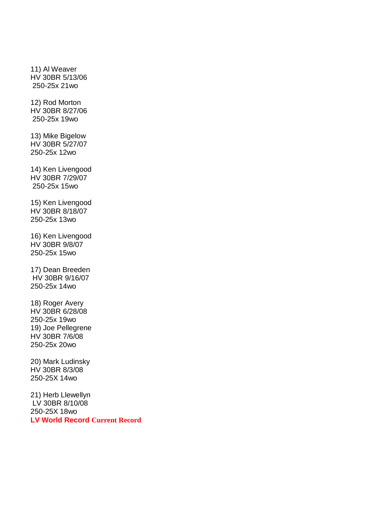11) Al Weaver HV 30BR 5/13/06 250-25x 21wo 12) Rod Morton HV 30BR 8/27/06 250-25x 19wo 13) Mike Bigelow HV 30BR 5/27/07 250-25x 12wo 14) Ken Livengood HV 30BR 7/29/07 250-25x 15wo 15) Ken Livengood HV 30BR 8/18/07 250-25x 13wo 16) Ken Livengood HV 30BR 9/8/07 250-25x 15wo 17) Dean Breeden HV 30BR 9/16/07 250-25x 14wo 18) Roger Avery HV 30BR 6/28/08 250-25x 19wo 19) Joe Pellegrene HV 30BR 7/6/08 250-25x 20wo 20) Mark Ludinsky HV 30BR 8/3/08 250-25X 14wo 21) Herb Llewellyn LV 30BR 8/10/08 250-25X 18wo **LV World Record Current Record**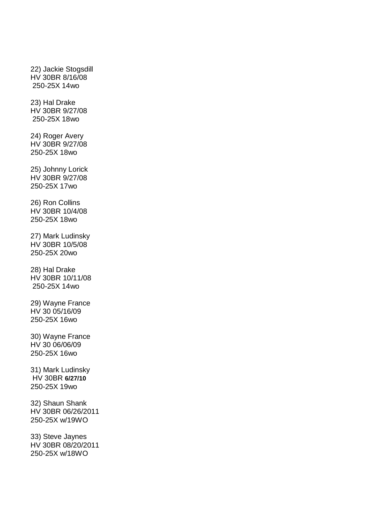22) Jackie Stogsdill HV 30BR 8/16/08 250-25X 14wo 23) Hal Drake HV 30BR 9/27/08 250-25X 18wo 24) Roger Avery HV 30BR 9/27/08 250-25X 18wo 25) Johnny Lorick HV 30BR 9/27/08 250-25X 17wo 26) Ron Collins HV 30BR 10/4/08 250-25X 18wo 27) Mark Ludinsky HV 30BR 10/5/08 250-25X 20wo 28) Hal Drake HV 30BR 10/11/08 250-25X 14wo 29) Wayne France HV 30 05/16/09 250-25X 16wo 30) Wayne France HV 30 06/06/09 250-25X 16wo 31) Mark Ludinsky HV 30BR **6/27/10**  250-25X 19wo 32) Shaun Shank HV 30BR 06/26/2011 250-25X w/19WO 33) Steve Jaynes HV 30BR 08/20/2011 250-25X w/18WO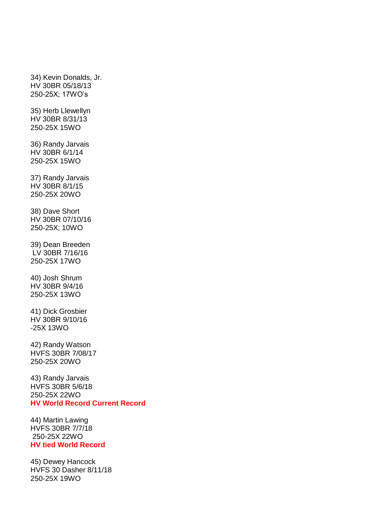34) Kevin Donalds, Jr. HV 30BR 05/18/13 250-25X; 17WO's 35) Herb Llewellyn HV 30BR 8/31/13 250-25X 15WO 36) Randy Jarvais HV 30BR 6/1/14 250-25X 15WO 37) Randy Jarvais HV 30BR 8/1/15 250-25X 20WO 38) Dave Short HV 30BR 07/10/16 250-25X; 10WO 39) Dean Breeden LV 30BR 7/16/16 250-25X 17WO 40) Josh Shrum HV 30BR 9/4/16 250-25X 13WO 41) Dick Grosbier HV 30BR 9/10/16 -25X 13WO 42) Randy Watson HVFS 30BR 7/08/17 250-25X 20WO 43) Randy Jarvais HVFS 30BR 5/6/18 250-25X 22WO **HV World Record Current Record**  44) Martin Lawing

HVFS 30BR 7/7/18 250-25X 22WO **HV tied World Record**

45) Dewey Hancock HVFS 30 Dasher 8/11/18 250-25X 19WO